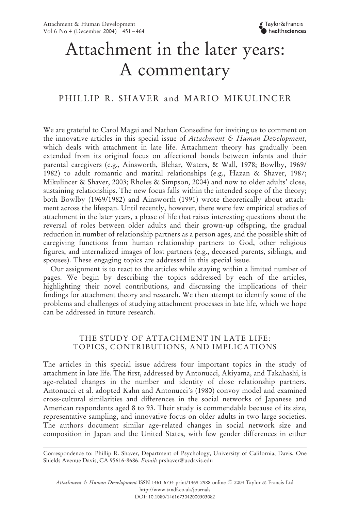# Attachment in the later years: A commentary

# PHILLIP R. SHAVER and MARIO MIKULINCER

We are grateful to Carol Magai and Nathan Consedine for inviting us to comment on the innovative articles in this special issue of Attachment  $\mathcal E$  Human Development, which deals with attachment in late life. Attachment theory has gradually been extended from its original focus on affectional bonds between infants and their parental caregivers (e.g., Ainsworth, Blehar, Waters, & Wall, 1978; Bowlby, 1969/ 1982) to adult romantic and marital relationships (e.g., Hazan & Shaver, 1987; Mikulincer & Shaver, 2003; Rholes & Simpson, 2004) and now to older adults' close, sustaining relationships. The new focus falls within the intended scope of the theory; both Bowlby (1969/1982) and Ainsworth (1991) wrote theoretically about attachment across the lifespan. Until recently, however, there were few empirical studies of attachment in the later years, a phase of life that raises interesting questions about the reversal of roles between older adults and their grown-up offspring, the gradual reduction in number of relationship partners as a person ages, and the possible shift of caregiving functions from human relationship partners to God, other religious figures, and internalized images of lost partners (e.g., deceased parents, siblings, and spouses). These engaging topics are addressed in this special issue.

Our assignment is to react to the articles while staying within a limited number of pages. We begin by describing the topics addressed by each of the articles, highlighting their novel contributions, and discussing the implications of their findings for attachment theory and research. We then attempt to identify some of the problems and challenges of studying attachment processes in late life, which we hope can be addressed in future research.

## THE STUDY OF ATTACHMENT IN LATE LIFE: TOPICS, CONTRIBUTIONS, AND IMPLICATIONS

The articles in this special issue address four important topics in the study of attachment in late life. The first, addressed by Antonucci, Akiyama, and Takahashi, is age-related changes in the number and identity of close relationship partners. Antonucci et al. adopted Kahn and Antonucci's (1980) convoy model and examined cross-cultural similarities and differences in the social networks of Japanese and American respondents aged 8 to 93. Their study is commendable because of its size, representative sampling, and innovative focus on older adults in two large societies. The authors document similar age-related changes in social network size and composition in Japan and the United States, with few gender differences in either

Correspondence to: Phillip R. Shaver, Department of Psychology, University of California, Davis, One Shields Avenue Davis, CA 95616-8686. Email: prshaver@ucdavis.edu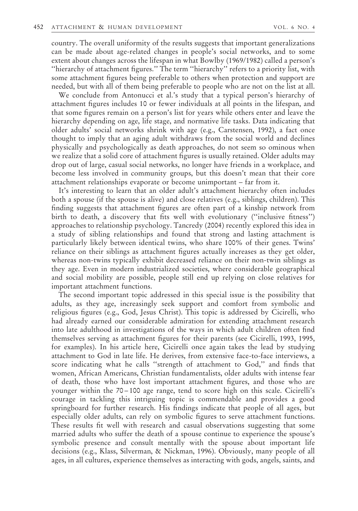country. The overall uniformity of the results suggests that important generalizations can be made about age-related changes in people's social networks, and to some extent about changes across the lifespan in what Bowlby (1969/1982) called a person's ''hierarchy of attachment figures.'' The term ''hierarchy'' refers to a priority list, with some attachment figures being preferable to others when protection and support are needed, but with all of them being preferable to people who are not on the list at all.

We conclude from Antonucci et al.'s study that a typical person's hierarchy of attachment figures includes 10 or fewer individuals at all points in the lifespan, and that some figures remain on a person's list for years while others enter and leave the hierarchy depending on age, life stage, and normative life tasks. Data indicating that older adults' social networks shrink with age (e.g., Carstensen, 1992), a fact once thought to imply that an aging adult withdraws from the social world and declines physically and psychologically as death approaches, do not seem so ominous when we realize that a solid core of attachment figures is usually retained. Older adults may drop out of large, casual social networks, no longer have friends in a workplace, and become less involved in community groups, but this doesn't mean that their core attachment relationships evaporate or become unimportant – far from it.

It's interesting to learn that an older adult's attachment hierarchy often includes both a spouse (if the spouse is alive) and close relatives (e.g., siblings, children). This finding suggests that attachment figures are often part of a kinship network from birth to death, a discovery that fits well with evolutionary (''inclusive fitness'') approaches to relationship psychology. Tancredy (2004) recently explored this idea in a study of sibling relationships and found that strong and lasting attachment is particularly likely between identical twins, who share 100% of their genes. Twins' reliance on their siblings as attachment figures actually increases as they get older, whereas non-twins typically exhibit decreased reliance on their non-twin siblings as they age. Even in modern industrialized societies, where considerable geographical and social mobility are possible, people still end up relying on close relatives for important attachment functions.

The second important topic addressed in this special issue is the possibility that adults, as they age, increasingly seek support and comfort from symbolic and religious figures (e.g., God, Jesus Christ). This topic is addressed by Cicirelli, who had already earned our considerable admiration for extending attachment research into late adulthood in investigations of the ways in which adult children often find themselves serving as attachment figures for their parents (see Cicirelli, 1993, 1995, for examples). In his article here, Cicirelli once again takes the lead by studying attachment to God in late life. He derives, from extensive face-to-face interviews, a score indicating what he calls ''strength of attachment to God,'' and finds that women, African Americans, Christian fundamentalists, older adults with intense fear of death, those who have lost important attachment figures, and those who are younger within the 70 – 100 age range, tend to score high on this scale. Cicirelli's courage in tackling this intriguing topic is commendable and provides a good springboard for further research. His findings indicate that people of all ages, but especially older adults, can rely on symbolic figures to serve attachment functions. These results fit well with research and casual observations suggesting that some married adults who suffer the death of a spouse continue to experience the spouse's symbolic presence and consult mentally with the spouse about important life decisions (e.g., Klass, Silverman, & Nickman, 1996). Obviously, many people of all ages, in all cultures, experience themselves as interacting with gods, angels, saints, and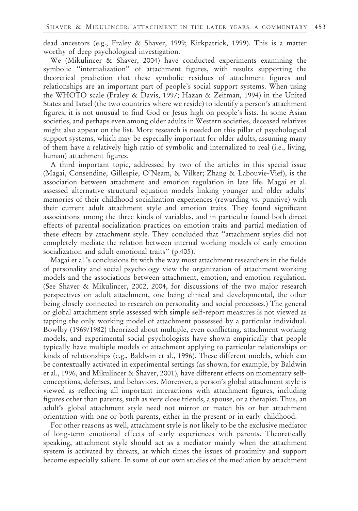dead ancestors (e.g., Fraley & Shaver, 1999; Kirkpatrick, 1999). This is a matter worthy of deep psychological investigation.

We (Mikulincer & Shaver, 2004) have conducted experiments examining the symbolic ''internalization'' of attachment figures, with results supporting the theoretical prediction that these symbolic residues of attachment figures and relationships are an important part of people's social support systems. When using the WHOTO scale (Fraley & Davis, 1997; Hazan & Zeifman, 1994) in the United States and Israel (the two countries where we reside) to identify a person's attachment figures, it is not unusual to find God or Jesus high on people's lists. In some Asian societies, and perhaps even among older adults in Western societies, deceased relatives might also appear on the list. More research is needed on this pillar of psychological support systems, which may be especially important for older adults, assuming many of them have a relatively high ratio of symbolic and internalized to real (i.e., living, human) attachment figures.

A third important topic, addressed by two of the articles in this special issue (Magai, Consendine, Gillespie, O'Neam, & Vilker; Zhang & Labouvie-Vief), is the association between attachment and emotion regulation in late life. Magai et al. assessed alternative structural equation models linking younger and older adults' memories of their childhood socialization experiences (rewarding vs. punitive) with their current adult attachment style and emotion traits. They found significant associations among the three kinds of variables, and in particular found both direct effects of parental socialization practices on emotion traits and partial mediation of these effects by attachment style. They concluded that ''attachment styles did not completely mediate the relation between internal working models of early emotion socialization and adult emotional traits'' (p.405).

Magai et al.'s conclusions fit with the way most attachment researchers in the fields of personality and social psychology view the organization of attachment working models and the associations between attachment, emotion, and emotion regulation. (See Shaver & Mikulincer, 2002, 2004, for discussions of the two major research perspectives on adult attachment, one being clinical and developmental, the other being closely connected to research on personality and social processes.) The general or global attachment style assessed with simple self-report measures is not viewed as tapping the only working model of attachment possessed by a particular individual. Bowlby (1969/1982) theorized about multiple, even conflicting, attachment working models, and experimental social psychologists have shown empirically that people typically have multiple models of attachment applying to particular relationships or kinds of relationships (e.g., Baldwin et al., 1996). These different models, which can be contextually activated in experimental settings (as shown, for example, by Baldwin et al., 1996, and Mikulincer & Shaver, 2001), have different effects on momentary selfconceptions, defenses, and behaviors. Moreover, a person's global attachment style is viewed as reflecting all important interactions with attachment figures, including figures other than parents, such as very close friends, a spouse, or a therapist. Thus, an adult's global attachment style need not mirror or match his or her attachment orientation with one or both parents, either in the present or in early childhood.

For other reasons as well, attachment style is not likely to be the exclusive mediator of long-term emotional effects of early experiences with parents. Theoretically speaking, attachment style should act as a mediator mainly when the attachment system is activated by threats, at which times the issues of proximity and support become especially salient. In some of our own studies of the mediation by attachment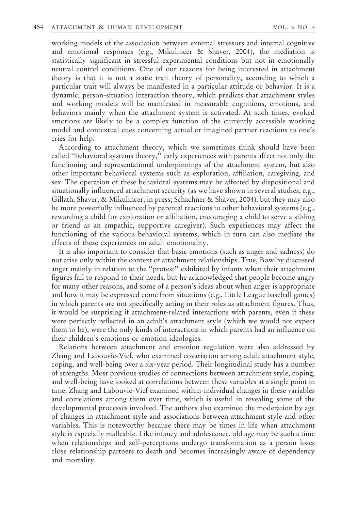working models of the association between external stressors and internal cognitive and emotional responses (e.g., Mikulincer & Shaver, 2004), the mediation is statistically significant in stressful experimental conditions but not in emotionally neutral control conditions. One of our reasons for being interested in attachment theory is that it is not a static trait theory of personality, according to which a particular trait will always be manifested in a particular attitude or behavior. It is a dynamic, person-situation interaction theory, which predicts that attachment styles and working models will be manifested in measurable cognitions, emotions, and behaviors mainly when the attachment system is activated. At such times, evoked emotions are likely to be a complex function of the currently accessible working model and contextual cues concerning actual or imagined partner reactions to one's cries for help.

According to attachment theory, which we sometimes think should have been called ''behavioral systems theory,'' early experiences with parents affect not only the functioning and representational underpinnings of the attachment system, but also other important behavioral systems such as exploration, affiliation, caregiving, and sex. The operation of these behavioral systems may be affected by dispositional and situationally influenced attachment security (as we have shown in several studies; e.g., Gillath, Shaver, & Mikulincer, in press; Schachner & Shaver, 2004), but they may also be more powerfully influenced by parental reactions to other behavioral systems (e.g., rewarding a child for exploration or affiliation, encouraging a child to serve a sibling or friend as an empathic, supportive caregiver). Such experiences may affect the functioning of the various behavioral systems, which in turn can also mediate the effects of these experiences on adult emotionality.

It is also important to consider that basic emotions (such as anger and sadness) do not arise only within the context of attachment relationships. True, Bowlby discussed anger mainly in relation to the ''protest'' exhibited by infants when their attachment figures fail to respond to their needs, but he acknowledged that people become angry for many other reasons, and some of a person's ideas about when anger is appropriate and how it may be expressed come from situations (e.g., Little League baseball games) in which parents are not specifically acting in their roles as attachment figures. Thus, it would be surprising if attachment-related interactions with parents, even if these were perfectly reflected in an adult's attachment style (which we would not expect them to be), were the only kinds of interactions in which parents had an influence on their children's emotions or emotion ideologies.

Relations between attachment and emotion regulation were also addressed by Zhang and Labouvie-Vief, who examined covariation among adult attachment style, coping, and well-being over a six-year period. Their longitudinal study has a number of strengths. Most previous studies of connections between attachment style, coping, and well-being have looked at correlations between these variables at a single point in time. Zhang and Labouvie-Vief examined within-individual changes in these variables and correlations among them over time, which is useful in revealing some of the developmental processes involved. The authors also examined the moderation by age of changes in attachment style and associations between attachment style and other variables. This is noteworthy because there may be times in life when attachment style is especially malleable. Like infancy and adolescence, old age may be such a time when relationships and self-perceptions undergo transformation as a person loses close relationship partners to death and becomes increasingly aware of dependency and mortality.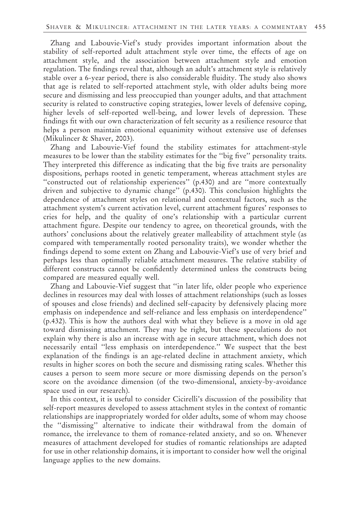Zhang and Labouvie-Vief's study provides important information about the stability of self-reported adult attachment style over time, the effects of age on attachment style, and the association between attachment style and emotion regulation. The findings reveal that, although an adult's attachment style is relatively stable over a 6-year period, there is also considerable fluidity. The study also shows that age is related to self-reported attachment style, with older adults being more secure and dismissing and less preoccupied than younger adults, and that attachment security is related to constructive coping strategies, lower levels of defensive coping, higher levels of self-reported well-being, and lower levels of depression. These findings fit with our own characterization of felt security as a resilience resource that helps a person maintain emotional equanimity without extensive use of defenses (Mikulincer & Shaver, 2003).

Zhang and Labouvie-Vief found the stability estimates for attachment-style measures to be lower than the stability estimates for the ''big five'' personality traits. They interpreted this difference as indicating that the big five traits are personality dispositions, perhaps rooted in genetic temperament, whereas attachment styles are ''constructed out of relationship experiences'' (p.430) and are ''more contextually driven and subjective to dynamic change'' (p.430). This conclusion highlights the dependence of attachment styles on relational and contextual factors, such as the attachment system's current activation level, current attachment figures' responses to cries for help, and the quality of one's relationship with a particular current attachment figure. Despite our tendency to agree, on theoretical grounds, with the authors' conclusions about the relatively greater malleability of attachment style (as compared with temperamentally rooted personality traits), we wonder whether the findings depend to some extent on Zhang and Labouvie-Vief's use of very brief and perhaps less than optimally reliable attachment measures. The relative stability of different constructs cannot be confidently determined unless the constructs being compared are measured equally well.

Zhang and Labouvie-Vief suggest that ''in later life, older people who experience declines in resources may deal with losses of attachment relationships (such as losses of spouses and close friends) and declined self-capacity by defensively placing more emphasis on independence and self-reliance and less emphasis on interdependence'' (p.432). This is how the authors deal with what they believe is a move in old age toward dismissing attachment. They may be right, but these speculations do not explain why there is also an increase with age in secure attachment, which does not necessarily entail ''less emphasis on interdependence.'' We suspect that the best explanation of the findings is an age-related decline in attachment anxiety, which results in higher scores on both the secure and dismissing rating scales. Whether this causes a person to seem more secure or more dismissing depends on the person's score on the avoidance dimension (of the two-dimensional, anxiety-by-avoidance space used in our research).

In this context, it is useful to consider Cicirelli's discussion of the possibility that self-report measures developed to assess attachment styles in the context of romantic relationships are inappropriately worded for older adults, some of whom may choose the ''dismissing'' alternative to indicate their withdrawal from the domain of romance, the irrelevance to them of romance-related anxiety, and so on. Whenever measures of attachment developed for studies of romantic relationships are adapted for use in other relationship domains, it is important to consider how well the original language applies to the new domains.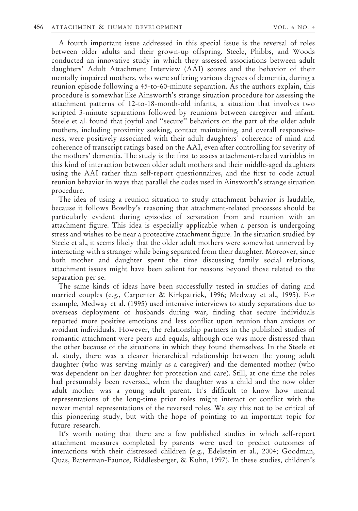A fourth important issue addressed in this special issue is the reversal of roles between older adults and their grown-up offspring. Steele, Phibbs, and Woods conducted an innovative study in which they assessed associations between adult daughters' Adult Attachment Interview (AAI) scores and the behavior of their mentally impaired mothers, who were suffering various degrees of dementia, during a reunion episode following a 45-to-60-minute separation. As the authors explain, this procedure is somewhat like Ainsworth's strange situation procedure for assessing the attachment patterns of 12-to-18-month-old infants, a situation that involves two scripted 3-minute separations followed by reunions between caregiver and infant. Steele et al. found that joyful and ''secure'' behaviors on the part of the older adult mothers, including proximity seeking, contact maintaining, and overall responsiveness, were positively associated with their adult daughters' coherence of mind and coherence of transcript ratings based on the AAI, even after controlling for severity of the mothers' dementia. The study is the first to assess attachment-related variables in this kind of interaction between older adult mothers and their middle-aged daughters using the AAI rather than self-report questionnaires, and the first to code actual reunion behavior in ways that parallel the codes used in Ainsworth's strange situation procedure.

The idea of using a reunion situation to study attachment behavior is laudable, because it follows Bowlby's reasoning that attachment-related processes should be particularly evident during episodes of separation from and reunion with an attachment figure. This idea is especially applicable when a person is undergoing stress and wishes to be near a protective attachment figure. In the situation studied by Steele et al., it seems likely that the older adult mothers were somewhat unnerved by interacting with a stranger while being separated from their daughter. Moreover, since both mother and daughter spent the time discussing family social relations, attachment issues might have been salient for reasons beyond those related to the separation per se.

The same kinds of ideas have been successfully tested in studies of dating and married couples (e.g., Carpenter & Kirkpatrick, 1996; Medway et al., 1995). For example, Medway et al. (1995) used intensive interviews to study separations due to overseas deployment of husbands during war, finding that secure individuals reported more positive emotions and less conflict upon reunion than anxious or avoidant individuals. However, the relationship partners in the published studies of romantic attachment were peers and equals, although one was more distressed than the other because of the situations in which they found themselves. In the Steele et al. study, there was a clearer hierarchical relationship between the young adult daughter (who was serving mainly as a caregiver) and the demented mother (who was dependent on her daughter for protection and care). Still, at one time the roles had presumably been reversed, when the daughter was a child and the now older adult mother was a young adult parent. It's difficult to know how mental representations of the long-time prior roles might interact or conflict with the newer mental representations of the reversed roles. We say this not to be critical of this pioneering study, but with the hope of pointing to an important topic for future research.

It's worth noting that there are a few published studies in which self-report attachment measures completed by parents were used to predict outcomes of interactions with their distressed children (e.g., Edelstein et al., 2004; Goodman, Quas, Batterman-Faunce, Riddlesberger, & Kuhn, 1997). In these studies, children's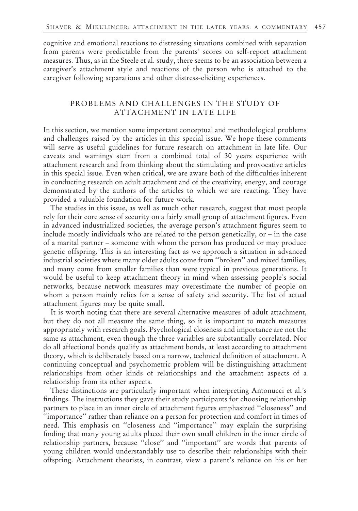cognitive and emotional reactions to distressing situations combined with separation from parents were predictable from the parents' scores on self-report attachment measures. Thus, as in the Steele et al. study, there seems to be an association between a caregiver's attachment style and reactions of the person who is attached to the caregiver following separations and other distress-eliciting experiences.

### PROBLEMS AND CHALLENGES IN THE STUDY OF ATTACHMENT IN LATE LIFE

In this section, we mention some important conceptual and methodological problems and challenges raised by the articles in this special issue. We hope these comments will serve as useful guidelines for future research on attachment in late life. Our caveats and warnings stem from a combined total of 30 years experience with attachment research and from thinking about the stimulating and provocative articles in this special issue. Even when critical, we are aware both of the difficulties inherent in conducting research on adult attachment and of the creativity, energy, and courage demonstrated by the authors of the articles to which we are reacting. They have provided a valuable foundation for future work.

The studies in this issue, as well as much other research, suggest that most people rely for their core sense of security on a fairly small group of attachment figures. Even in advanced industrialized societies, the average person's attachment figures seem to include mostly individuals who are related to the person genetically, or – in the case of a marital partner – someone with whom the person has produced or may produce genetic offspring. This is an interesting fact as we approach a situation in advanced industrial societies where many older adults come from ''broken'' and mixed families, and many come from smaller families than were typical in previous generations. It would be useful to keep attachment theory in mind when assessing people's social networks, because network measures may overestimate the number of people on whom a person mainly relies for a sense of safety and security. The list of actual attachment figures may be quite small.

It is worth noting that there are several alternative measures of adult attachment, but they do not all measure the same thing, so it is important to match measures appropriately with research goals. Psychological closeness and importance are not the same as attachment, even though the three variables are substantially correlated. Nor do all affectional bonds qualify as attachment bonds, at least according to attachment theory, which is deliberately based on a narrow, technical definition of attachment. A continuing conceptual and psychometric problem will be distinguishing attachment relationships from other kinds of relationships and the attachment aspects of a relationship from its other aspects.

These distinctions are particularly important when interpreting Antonucci et al.'s findings. The instructions they gave their study participants for choosing relationship partners to place in an inner circle of attachment figures emphasized ''closeness'' and ''importance'' rather than reliance on a person for protection and comfort in times of need. This emphasis on ''closeness and ''importance'' may explain the surprising finding that many young adults placed their own small children in the inner circle of relationship partners, because ''close'' and ''important'' are words that parents of young children would understandably use to describe their relationships with their offspring. Attachment theorists, in contrast, view a parent's reliance on his or her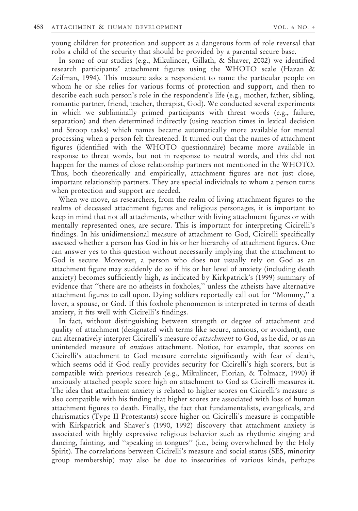young children for protection and support as a dangerous form of role reversal that robs a child of the security that should be provided by a parental secure base.

In some of our studies (e.g., Mikulincer, Gillath, & Shaver, 2002) we identified research participants' attachment figures using the WHOTO scale (Hazan & Zeifman, 1994). This measure asks a respondent to name the particular people on whom he or she relies for various forms of protection and support, and then to describe each such person's role in the respondent's life (e.g., mother, father, sibling, romantic partner, friend, teacher, therapist, God). We conducted several experiments in which we subliminally primed participants with threat words (e.g., failure, separation) and then determined indirectly (using reaction times in lexical decision and Stroop tasks) which names became automatically more available for mental processing when a person felt threatened. It turned out that the names of attachment figures (identified with the WHOTO questionnaire) became more available in response to threat words, but not in response to neutral words, and this did not happen for the names of close relationship partners not mentioned in the WHOTO. Thus, both theoretically and empirically, attachment figures are not just close, important relationship partners. They are special individuals to whom a person turns when protection and support are needed.

When we move, as researchers, from the realm of living attachment figures to the realms of deceased attachment figures and religious personages, it is important to keep in mind that not all attachments, whether with living attachment figures or with mentally represented ones, are secure. This is important for interpreting Cicirelli's findings. In his unidimensional measure of attachment to God, Cicirelli specifically assessed whether a person has God in his or her hierarchy of attachment figures. One can answer yes to this question without necessarily implying that the attachment to God is secure. Moreover, a person who does not usually rely on God as an attachment figure may suddenly do so if his or her level of anxiety (including death anxiety) becomes sufficiently high, as indicated by Kirkpatrick's (1999) summary of evidence that ''there are no atheists in foxholes,'' unless the atheists have alternative attachment figures to call upon. Dying soldiers reportedly call out for ''Mommy,'' a lover, a spouse, or God. If this foxhole phenomenon is interpreted in terms of death anxiety, it fits well with Cicirelli's findings.

In fact, without distinguishing between strength or degree of attachment and quality of attachment (designated with terms like secure, anxious, or avoidant), one can alternatively interpret Cicirelli's measure of attachment to God, as he did, or as an unintended measure of *anxious* attachment. Notice, for example, that scores on Cicirelli's attachment to God measure correlate significantly with fear of death, which seems odd if God really provides security for Cicirelli's high scorers, but is compatible with previous research (e.g., Mikulincer, Florian, & Tolmacz, 1990) if anxiously attached people score high on attachment to God as Cicirelli measures it. The idea that attachment anxiety is related to higher scores on Cicirelli's measure is also compatible with his finding that higher scores are associated with loss of human attachment figures to death. Finally, the fact that fundamentalists, evangelicals, and charismatics (Type II Protestants) score higher on Cicirelli's measure is compatible with Kirkpatrick and Shaver's (1990, 1992) discovery that attachment anxiety is associated with highly expressive religious behavior such as rhythmic singing and dancing, fainting, and ''speaking in tongues'' (i.e., being overwhelmed by the Holy Spirit). The correlations between Cicirelli's measure and social status (SES, minority group membership) may also be due to insecurities of various kinds, perhaps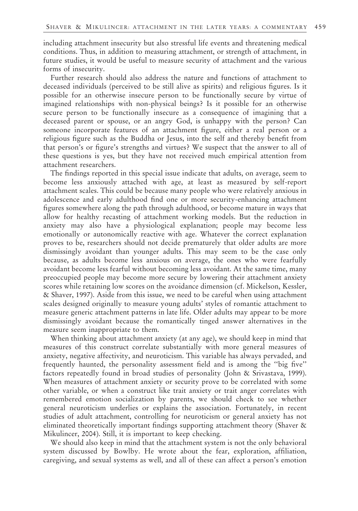including attachment insecurity but also stressful life events and threatening medical conditions. Thus, in addition to measuring attachment, or strength of attachment, in future studies, it would be useful to measure security of attachment and the various forms of insecurity.

Further research should also address the nature and functions of attachment to deceased individuals (perceived to be still alive as spirits) and religious figures. Is it possible for an otherwise insecure person to be functionally secure by virtue of imagined relationships with non-physical beings? Is it possible for an otherwise secure person to be functionally insecure as a consequence of imagining that a deceased parent or spouse, or an angry God, is unhappy with the person? Can someone incorporate features of an attachment figure, either a real person or a religious figure such as the Buddha or Jesus, into the self and thereby benefit from that person's or figure's strengths and virtues? We suspect that the answer to all of these questions is yes, but they have not received much empirical attention from attachment researchers.

The findings reported in this special issue indicate that adults, on average, seem to become less anxiously attached with age, at least as measured by self-report attachment scales. This could be because many people who were relatively anxious in adolescence and early adulthood find one or more security-enhancing attachment figures somewhere along the path through adulthood, or become mature in ways that allow for healthy recasting of attachment working models. But the reduction in anxiety may also have a physiological explanation; people may become less emotionally or autonomically reactive with age. Whatever the correct explanation proves to be, researchers should not decide prematurely that older adults are more dismissingly avoidant than younger adults. This may seem to be the case only because, as adults become less anxious on average, the ones who were fearfully avoidant become less fearful without becoming less avoidant. At the same time, many preoccupied people may become more secure by lowering their attachment anxiety scores while retaining low scores on the avoidance dimension (cf. Mickelson, Kessler, & Shaver, 1997). Aside from this issue, we need to be careful when using attachment scales designed originally to measure young adults' styles of romantic attachment to measure generic attachment patterns in late life. Older adults may appear to be more dismissingly avoidant because the romantically tinged answer alternatives in the measure seem inappropriate to them.

When thinking about attachment anxiety (at any age), we should keep in mind that measures of this construct correlate substantially with more general measures of anxiety, negative affectivity, and neuroticism. This variable has always pervaded, and frequently haunted, the personality assessment field and is among the ''big five'' factors repeatedly found in broad studies of personality (John & Srivastava, 1999). When measures of attachment anxiety or security prove to be correlated with some other variable, or when a construct like trait anxiety or trait anger correlates with remembered emotion socialization by parents, we should check to see whether general neuroticism underlies or explains the association. Fortunately, in recent studies of adult attachment, controlling for neuroticism or general anxiety has not eliminated theoretically important findings supporting attachment theory (Shaver & Mikulincer, 2004). Still, it is important to keep checking.

We should also keep in mind that the attachment system is not the only behavioral system discussed by Bowlby. He wrote about the fear, exploration, affiliation, caregiving, and sexual systems as well, and all of these can affect a person's emotion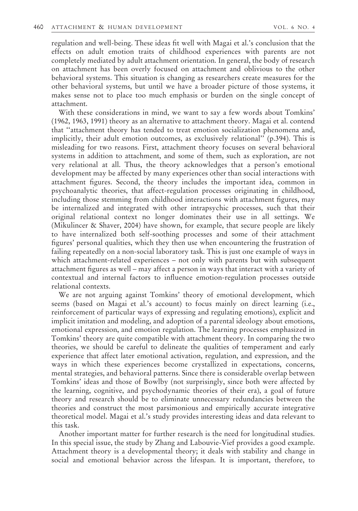regulation and well-being. These ideas fit well with Magai et al.'s conclusion that the effects on adult emotion traits of childhood experiences with parents are not completely mediated by adult attachment orientation. In general, the body of research on attachment has been overly focused on attachment and oblivious to the other behavioral systems. This situation is changing as researchers create measures for the other behavioral systems, but until we have a broader picture of those systems, it makes sense not to place too much emphasis or burden on the single concept of attachment.

With these considerations in mind, we want to say a few words about Tomkins' (1962, 1963, 1991) theory as an alternative to attachment theory. Magai et al. contend that ''attachment theory has tended to treat emotion socialization phenomena and, implicitly, their adult emotion outcomes, as exclusively relational'' (p.394). This is misleading for two reasons. First, attachment theory focuses on several behavioral systems in addition to attachment, and some of them, such as exploration, are not very relational at all. Thus, the theory acknowledges that a person's emotional development may be affected by many experiences other than social interactions with attachment figures. Second, the theory includes the important idea, common in psychoanalytic theories, that affect-regulation processes originating in childhood, including those stemming from childhood interactions with attachment figures, may be internalized and integrated with other intrapsychic processes, such that their original relational context no longer dominates their use in all settings. We (Mikulincer & Shaver, 2004) have shown, for example, that secure people are likely to have internalized both self-soothing processes and some of their attachment figures' personal qualities, which they then use when encountering the frustration of failing repeatedly on a non-social laboratory task. This is just one example of ways in which attachment-related experiences – not only with parents but with subsequent attachment figures as well – may affect a person in ways that interact with a variety of contextual and internal factors to influence emotion-regulation processes outside relational contexts.

We are not arguing against Tomkins' theory of emotional development, which seems (based on Magai et al.'s account) to focus mainly on direct learning (i.e., reinforcement of particular ways of expressing and regulating emotions), explicit and implicit imitation and modeling, and adoption of a parental ideology about emotions, emotional expression, and emotion regulation. The learning processes emphasized in Tomkins' theory are quite compatible with attachment theory. In comparing the two theories, we should be careful to delineate the qualities of temperament and early experience that affect later emotional activation, regulation, and expression, and the ways in which these experiences become crystallized in expectations, concerns, mental strategies, and behavioral patterns. Since there is considerable overlap between Tomkins' ideas and those of Bowlby (not surprisingly, since both were affected by the learning, cognitive, and psychodynamic theories of their era), a goal of future theory and research should be to eliminate unnecessary redundancies between the theories and construct the most parsimonious and empirically accurate integrative theoretical model. Magai et al.'s study provides interesting ideas and data relevant to this task.

Another important matter for further research is the need for longitudinal studies. In this special issue, the study by Zhang and Labouvie-Vief provides a good example. Attachment theory is a developmental theory; it deals with stability and change in social and emotional behavior across the lifespan. It is important, therefore, to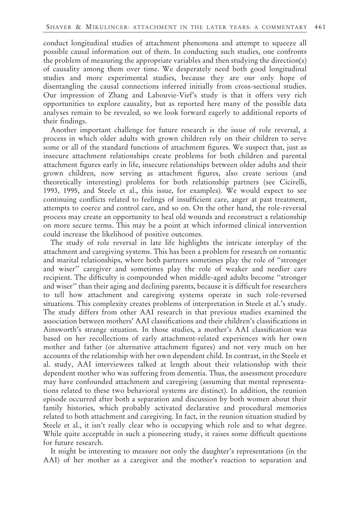conduct longitudinal studies of attachment phenomena and attempt to squeeze all possible causal information out of them. In conducting such studies, one confronts the problem of measuring the appropriate variables and then studying the direction(s) of causality among them over time. We desperately need both good longitudinal studies and more experimental studies, because they are our only hope of disentangling the causal connections inferred initially from cross-sectional studies. Our impression of Zhang and Labouvie-Vief's study is that it offers very rich opportunities to explore causality, but as reported here many of the possible data analyses remain to be revealed, so we look forward eagerly to additional reports of their findings.

Another important challenge for future research is the issue of role reversal, a process in which older adults with grown children rely on their children to serve some or all of the standard functions of attachment figures. We suspect that, just as insecure attachment relationships create problems for both children and parental attachment figures early in life, insecure relationships between older adults and their grown children, now serving as attachment figures, also create serious (and theoretically interesting) problems for both relationship partners (see Cicirelli, 1993, 1995, and Steele et al., this issue, for examples). We would expect to see continuing conflicts related to feelings of insufficient care, anger at past treatment, attempts to coerce and control care, and so on. On the other hand, the role-reversal process may create an opportunity to heal old wounds and reconstruct a relationship on more secure terms. This may be a point at which informed clinical intervention could increase the likelihood of positive outcomes.

The study of role reversal in late life highlights the intricate interplay of the attachment and caregiving systems. This has been a problem for research on romantic and marital relationships, where both partners sometimes play the role of ''stronger and wiser'' caregiver and sometimes play the role of weaker and needier care recipient. The difficulty is compounded when middle-aged adults become ''stronger and wiser'' than their aging and declining parents, because it is difficult for researchers to tell how attachment and caregiving systems operate in such role-reversed situations. This complexity creates problems of interpretation in Steele et al.'s study. The study differs from other AAI research in that previous studies examined the association between mothers' AAI classifications and their children's classifications in Ainsworth's strange situation. In those studies, a mother's AAI classification was based on her recollections of early attachment-related experiences with her own mother and father (or alternative attachment figures) and not very much on her accounts of the relationship with her own dependent child. In contrast, in the Steele et al. study, AAI interviewees talked at length about their relationship with their dependent mother who was suffering from dementia. Thus, the assessment procedure may have confounded attachment and caregiving (assuming that mental representations related to these two behavioral systems are distinct). In addition, the reunion episode occurred after both a separation and discussion by both women about their family histories, which probably activated declarative and procedural memories related to both attachment and caregiving. In fact, in the reunion situation studied by Steele et al., it isn't really clear who is occupying which role and to what degree. While quite acceptable in such a pioneering study, it raises some difficult questions for future research.

It might be interesting to measure not only the daughter's representations (in the AAI) of her mother as a caregiver and the mother's reaction to separation and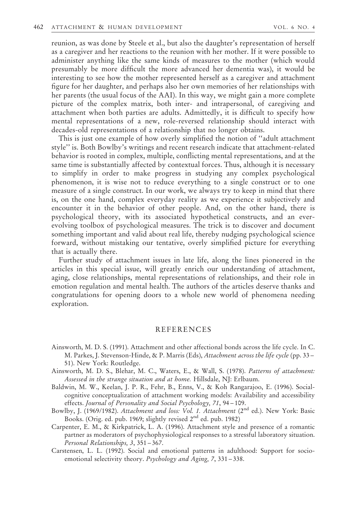reunion, as was done by Steele et al., but also the daughter's representation of herself as a caregiver and her reactions to the reunion with her mother. If it were possible to administer anything like the same kinds of measures to the mother (which would presumably be more difficult the more advanced her dementia was), it would be interesting to see how the mother represented herself as a caregiver and attachment figure for her daughter, and perhaps also her own memories of her relationships with her parents (the usual focus of the AAI). In this way, we might gain a more complete picture of the complex matrix, both inter- and intrapersonal, of caregiving and attachment when both parties are adults. Admittedly, it is difficult to specify how mental representations of a new, role-reversed relationship should interact with decades-old representations of a relationship that no longer obtains.

This is just one example of how overly simplified the notion of ''adult attachment style'' is. Both Bowlby's writings and recent research indicate that attachment-related behavior is rooted in complex, multiple, conflicting mental representations, and at the same time is substantially affected by contextual forces. Thus, although it is necessary to simplify in order to make progress in studying any complex psychological phenomenon, it is wise not to reduce everything to a single construct or to one measure of a single construct. In our work, we always try to keep in mind that there is, on the one hand, complex everyday reality as we experience it subjectively and encounter it in the behavior of other people. And, on the other hand, there is psychological theory, with its associated hypothetical constructs, and an everevolving toolbox of psychological measures. The trick is to discover and document something important and valid about real life, thereby nudging psychological science forward, without mistaking our tentative, overly simplified picture for everything that is actually there.

Further study of attachment issues in late life, along the lines pioneered in the articles in this special issue, will greatly enrich our understanding of attachment, aging, close relationships, mental representations of relationships, and their role in emotion regulation and mental health. The authors of the articles deserve thanks and congratulations for opening doors to a whole new world of phenomena needing exploration.

#### REFERENCES

- Ainsworth, M. D. S. (1991). Attachment and other affectional bonds across the life cycle. In C. M. Parkes, J. Stevenson-Hinde, & P. Marris (Eds), Attachment across the life cycle (pp. 33 – 51). New York: Routledge.
- Ainsworth, M. D. S., Blehar, M. C., Waters, E., & Wall, S. (1978). Patterns of attachment: Assessed in the strange situation and at home. Hillsdale, NJ: Erlbaum.
- Baldwin, M. W., Keelan, J. P. R., Fehr, B., Enns, V., & Koh Rangarajoo, E. (1996). Socialcognitive conceptualization of attachment working models: Availability and accessibility effects. Journal of Personality and Social Psychology, 71, 94 – 109.
- Bowlby, J. (1969/1982). Attachment and loss: Vol. 1. Attachment (2<sup>nd</sup> ed.). New York: Basic Books. (Orig. ed. pub. 1969; slightly revised 2nd ed. pub. 1982)
- Carpenter, E. M., & Kirkpatrick, L. A. (1996). Attachment style and presence of a romantic partner as moderators of psychophysiological responses to a stressful laboratory situation. Personal Relationships, 3, 351 – 367.
- Carstensen, L. L. (1992). Social and emotional patterns in adulthood: Support for socioemotional selectivity theory. Psychology and Aging, 7, 331 – 338.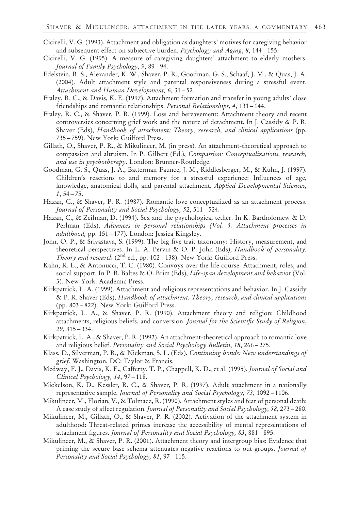- Cicirelli, V. G. (1993). Attachment and obligation as daughters' motives for caregiving behavior and subsequent effect on subjective burden. Psychology and Aging, 8, 144–155.
- Cicirelli, V. G. (1995). A measure of caregiving daughters' attachment to elderly mothers. Journal of Family Psychology, 9, 89 – 94.
- Edelstein, R. S., Alexander, K. W., Shaver, P. R., Goodman, G. S., Schaaf, J. M., & Quas, J. A. (2004). Adult attachment style and parental responsiveness during a stressful event. Attachment and Human Development, 6, 31 – 52.
- Fraley, R. C., & Davis, K. E. (1997). Attachment formation and transfer in young adults' close friendships and romantic relationships. Personal Relationships, 4, 131 – 144.
- Fraley, R. C., & Shaver, P. R. (1999). Loss and bereavement: Attachment theory and recent controversies concerning grief work and the nature of detachment. In J. Cassidy & P. R. Shaver (Eds), Handbook of attachment: Theory, research, and clinical applications (pp. 735 – 759). New York: Guilford Press.
- Gillath, O., Shaver, P. R., & Mikulincer, M. (in press). An attachment-theoretical approach to compassion and altruism. In P. Gilbert (Ed.), Compassion: Conceptualizations, research, and use in psychotherapy. London: Brunner-Routledge.
- Goodman, G. S., Quas, J. A., Batterman-Faunce, J. M., Riddlesberger, M., & Kuhn, J. (1997). Children's reactions to and memory for a stressful experience: Influences of age, knowledge, anatomical dolls, and parental attachment. Applied Developmental Sciences,  $1, 54 - 75.$
- Hazan, C., & Shaver, P. R. (1987). Romantic love conceptualized as an attachment process. Journal of Personality and Social Psychology, 52, 511 – 524.
- Hazan, C., & Zeifman, D. (1994). Sex and the psychological tether. In K. Bartholomew & D. Perlman (Eds), Advances in personal relationships (Vol. 5. Attachment processes in adulthood, pp. 151 – 177). London: Jessica Kingsley.
- John, O. P., & Srivastava, S. (1999). The big five trait taxonomy: History, measurement, and theoretical perspectives. In L. A. Pervin & O. P. John (Eds), Handbook of personality: Theory and research (2<sup>nd</sup> ed., pp. 102-138). New York: Guilford Press.
- Kahn, R. L., & Antonucci, T. C. (1980). Convoys over the life course: Attachment, roles, and social support. In P. B. Baltes & O. Brim (Eds), Life-span development and behavior (Vol. 3). New York: Academic Press.
- Kirkpatrick, L. A. (1999). Attachment and religious representations and behavior. In J. Cassidy & P. R. Shaver (Eds), Handbook of attachment: Theory, research, and clinical applications (pp. 803 – 822). New York: Guilford Press.
- Kirkpatrick, L. A., & Shaver, P. R. (1990). Attachment theory and religion: Childhood attachments, religious beliefs, and conversion. Journal for the Scientific Study of Religion, 29, 315 – 334.
- Kirkpatrick, L. A., & Shaver, P. R. (1992). An attachment-theoretical approach to romantic love and religious belief. Personality and Social Psychology Bulletin, 18, 266 – 275.
- Klass, D., Silverman, P. R., & Nickman, S. L. (Eds). Continuing bonds: New understandings of grief. Washington, DC: Taylor & Francis.
- Medway, F. J., Davis, K. E., Cafferty, T. P., Chappell, K. D., et al. (1995). Journal of Social and Clinical Psychology, 14, 97 – 118.
- Mickelson, K. D., Kessler, R. C., & Shaver, P. R. (1997). Adult attachment in a nationally representative sample. Journal of Personality and Social Psychology, 73, 1092 – 1106.
- Mikulincer, M., Florian, V., & Tolmacz, R. (1990). Attachment styles and fear of personal death: A case study of affect regulation. Journal of Personality and Social Psychology, 58, 273 – 280.
- Mikulincer, M., Gillath, O., & Shaver, P. R. (2002). Activation of the attachment system in adulthood: Threat-related primes increase the accessibility of mental representations of attachment figures. Journal of Personality and Social Psychology, 83, 881 – 895.
- Mikulincer, M., & Shaver, P. R. (2001). Attachment theory and intergroup bias: Evidence that priming the secure base schema attenuates negative reactions to out-groups. Journal of Personality and Social Psychology, 81, 97 – 115.